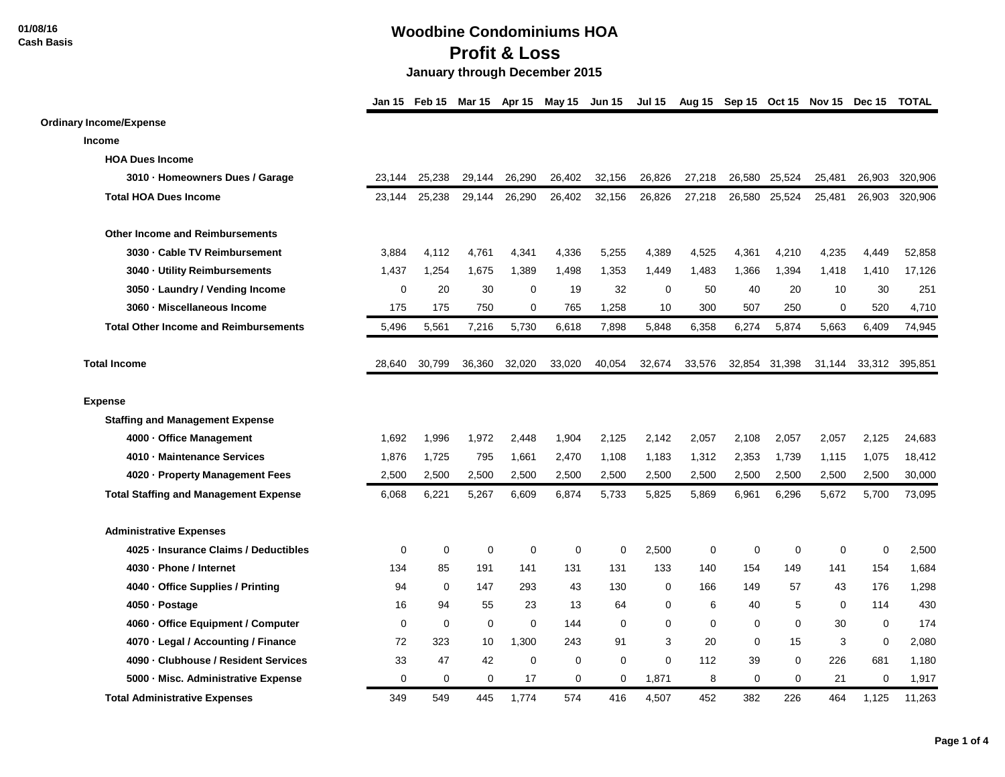## **Woodbine Condominiums HOA Profit & Loss January through December 2015**

|                                              | Jan 15      | Feb 15   | Mar 15           | Apr 15 | May 15 Jun 15 |                  | <b>Jul 15</b>  |             |        |          | Aug 15 Sep 15 Oct 15 Nov 15 Dec 15 TOTAL |             |                |
|----------------------------------------------|-------------|----------|------------------|--------|---------------|------------------|----------------|-------------|--------|----------|------------------------------------------|-------------|----------------|
| <b>Ordinary Income/Expense</b>               |             |          |                  |        |               |                  |                |             |        |          |                                          |             |                |
| <b>Income</b>                                |             |          |                  |        |               |                  |                |             |        |          |                                          |             |                |
| <b>HOA Dues Income</b>                       |             |          |                  |        |               |                  |                |             |        |          |                                          |             |                |
| 3010 · Homeowners Dues / Garage              | 23,144      | 25,238   | 29,144           | 26,290 | 26,402        | 32,156           | 26,826         | 27,218      | 26,580 | 25,524   | 25,481                                   | 26,903      | 320,906        |
| <b>Total HOA Dues Income</b>                 | 23,144      | 25,238   | 29,144           | 26,290 | 26,402        | 32,156           | 26,826         | 27,218      | 26,580 | 25,524   | 25,481                                   | 26,903      | 320,906        |
| <b>Other Income and Reimbursements</b>       |             |          |                  |        |               |                  |                |             |        |          |                                          |             |                |
| 3030 · Cable TV Reimbursement                | 3,884       | 4,112    | 4,761            | 4,341  | 4,336         | 5,255            | 4,389          | 4,525       | 4,361  | 4,210    | 4,235                                    | 4,449       | 52,858         |
| 3040 - Utility Reimbursements                | 1,437       | 1,254    | 1,675            | 1,389  | 1,498         | 1,353            | 1,449          | 1,483       | 1,366  | 1,394    | 1,418                                    | 1,410       | 17,126         |
| 3050 · Laundry / Vending Income              | $\mathbf 0$ | 20       | 30               | 0      | 19            | 32               | $\mathbf 0$    | 50          | 40     | 20       | 10                                       | 30          | 251            |
| 3060 - Miscellaneous Income                  | 175         | 175      | 750              | 0      | 765           | 1,258            | 10             | 300         | 507    | 250      | $\mathbf 0$                              | 520         | 4,710          |
| <b>Total Other Income and Reimbursements</b> | 5,496       | 5,561    | 7,216            | 5,730  | 6,618         | 7,898            | 5,848          | 6,358       | 6,274  | 5,874    | 5,663                                    | 6,409       | 74,945         |
| <b>Total Income</b>                          | 28,640      | 30,799   | 36,360           | 32,020 | 33,020        | 40,054           | 32,674         | 33,576      | 32,854 | 31,398   | 31,144                                   |             | 33,312 395,851 |
| <b>Expense</b>                               |             |          |                  |        |               |                  |                |             |        |          |                                          |             |                |
| <b>Staffing and Management Expense</b>       |             |          |                  |        |               |                  |                |             |        |          |                                          |             |                |
| 4000 - Office Management                     | 1,692       | 1,996    | 1,972            | 2,448  | 1,904         | 2,125            | 2,142          | 2,057       | 2,108  | 2,057    | 2,057                                    | 2,125       | 24,683         |
| 4010 - Maintenance Services                  | 1,876       | 1,725    | 795              | 1,661  | 2,470         | 1,108            | 1,183          | 1,312       | 2,353  | 1,739    | 1,115                                    | 1,075       | 18,412         |
| 4020 · Property Management Fees              | 2,500       | 2,500    | 2,500            | 2,500  | 2,500         | 2,500            | 2,500          | 2,500       | 2,500  | 2,500    | 2,500                                    | 2,500       | 30,000         |
| <b>Total Staffing and Management Expense</b> | 6,068       | 6,221    | 5,267            | 6,609  | 6,874         | 5,733            | 5,825          | 5,869       | 6,961  | 6,296    | 5,672                                    | 5,700       | 73,095         |
| <b>Administrative Expenses</b>               |             |          |                  |        |               |                  |                |             |        |          |                                          |             |                |
| 4025 · Insurance Claims / Deductibles        | 0           | 0        | $\boldsymbol{0}$ | 0      | $\mathbf 0$   | $\boldsymbol{0}$ | 2,500          | 0           | 0      | 0        | 0                                        | $\pmb{0}$   | 2,500          |
| 4030 - Phone / Internet                      | 134         | 85       | 191              | 141    | 131           | 131              | 133            | 140         | 154    | 149      | 141                                      | 154         | 1,684          |
| 4040 - Office Supplies / Printing            | 94          | $\Omega$ | 147              | 293    | 43            | 130              | 0              | 166         | 149    | 57       | 43                                       | 176         | 1,298          |
| 4050 - Postage                               | 16          | 94       | 55               | 23     | 13            | 64               | 0              | 6           | 40     | 5        | 0                                        | 114         | 430            |
| 4060 - Office Equipment / Computer           | $\mathbf 0$ | $\Omega$ | $\mathbf 0$      | 0      | 144           | $\mathbf 0$      | $\mathbf 0$    | $\mathbf 0$ | 0      | $\Omega$ | 30                                       | 0           | 174            |
| 4070 · Legal / Accounting / Finance          | 72          | 323      | 10               | 1,300  | 243           | 91               | 3              | 20          | 0      | 15       | 3                                        | $\mathbf 0$ | 2,080          |
| 4090 · Clubhouse / Resident Services         | 33          | 47       | 42               | 0      | $\mathbf 0$   | $\mathbf 0$      | $\overline{0}$ | 112         | 39     | $\Omega$ | 226                                      | 681         | 1,180          |
| 5000 - Misc. Administrative Expense          | $\mathbf 0$ | 0        | 0                | 17     | 0             | 0                | 1,871          | 8           | 0      | 0        | 21                                       | 0           | 1,917          |
| <b>Total Administrative Expenses</b>         | 349         | 549      | 445              | 1.774  | 574           | 416              | 4.507          | 452         | 382    | 226      | 464                                      | 1,125       | 11.263         |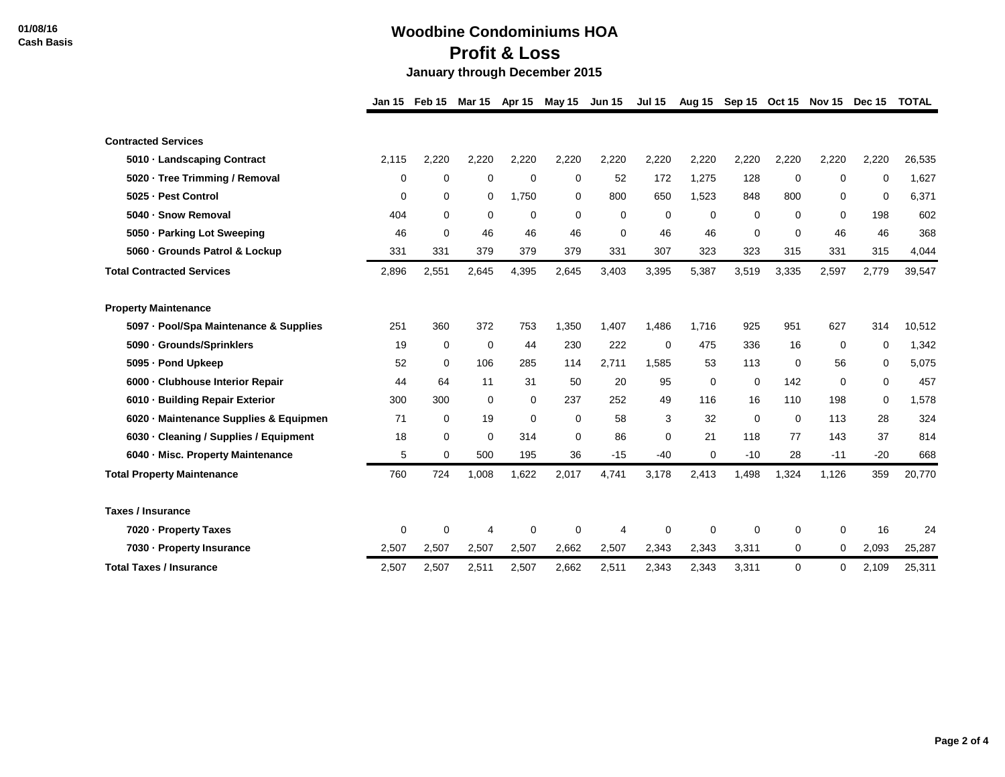## **Woodbine Condominiums HOA Profit & Loss January through December 2015**

|                                        |             | Jan 15 Feb 15 | <b>Mar 15</b>  | <b>Apr 15</b> | May 15      | <b>Jun 15</b> | <b>Jul 15</b> | Aug 15 | Sep 15 Oct 15 |             | Nov 15 Dec 15 |             | <b>TOTAL</b> |
|----------------------------------------|-------------|---------------|----------------|---------------|-------------|---------------|---------------|--------|---------------|-------------|---------------|-------------|--------------|
| <b>Contracted Services</b>             |             |               |                |               |             |               |               |        |               |             |               |             |              |
| 5010 · Landscaping Contract            | 2,115       | 2,220         | 2,220          | 2,220         | 2,220       | 2,220         | 2,220         | 2,220  | 2,220         | 2,220       | 2,220         | 2,220       | 26,535       |
| 5020 · Tree Trimming / Removal         | 0           | 0             | 0              | $\mathbf 0$   | 0           | 52            | 172           | 1,275  | 128           | $\mathbf 0$ | $\mathbf 0$   | 0           | 1,627        |
| 5025 - Pest Control                    | $\mathbf 0$ | 0             | 0              | 1,750         | 0           | 800           | 650           | 1,523  | 848           | 800         | 0             | $\mathbf 0$ | 6,371        |
| 5040 - Snow Removal                    | 404         | 0             | 0              | 0             | $\mathbf 0$ | 0             | 0             | 0      | 0             | 0           | 0             | 198         | 602          |
| 5050 - Parking Lot Sweeping            | 46          | 0             | 46             | 46            | 46          | 0             | 46            | 46     | 0             | $\Omega$    | 46            | 46          | 368          |
| 5060 - Grounds Patrol & Lockup         | 331         | 331           | 379            | 379           | 379         | 331           | 307           | 323    | 323           | 315         | 331           | 315         | 4,044        |
| <b>Total Contracted Services</b>       | 2,896       | 2,551         | 2,645          | 4,395         | 2,645       | 3,403         | 3,395         | 5,387  | 3,519         | 3,335       | 2,597         | 2,779       | 39,547       |
| <b>Property Maintenance</b>            |             |               |                |               |             |               |               |        |               |             |               |             |              |
| 5097 - Pool/Spa Maintenance & Supplies | 251         | 360           | 372            | 753           | 1,350       | 1,407         | 1,486         | 1,716  | 925           | 951         | 627           | 314         | 10,512       |
| 5090 Grounds/Sprinklers                | 19          | $\mathbf 0$   | 0              | 44            | 230         | 222           | 0             | 475    | 336           | 16          | $\mathbf 0$   | 0           | 1,342        |
| 5095 - Pond Upkeep                     | 52          | $\mathbf 0$   | 106            | 285           | 114         | 2,711         | 1,585         | 53     | 113           | 0           | 56            | 0           | 5,075        |
| 6000 - Clubhouse Interior Repair       | 44          | 64            | 11             | 31            | 50          | 20            | 95            | 0      | $\Omega$      | 142         | $\Omega$      | $\mathbf 0$ | 457          |
| 6010 - Building Repair Exterior        | 300         | 300           | 0              | 0             | 237         | 252           | 49            | 116    | 16            | 110         | 198           | 0           | 1,578        |
| 6020 - Maintenance Supplies & Equipmen | 71          | 0             | 19             | 0             | $\mathbf 0$ | 58            | 3             | 32     | 0             | $\mathbf 0$ | 113           | 28          | 324          |
| 6030 - Cleaning / Supplies / Equipment | 18          | $\mathbf 0$   | $\mathbf 0$    | 314           | 0           | 86            | $\Omega$      | 21     | 118           | 77          | 143           | 37          | 814          |
| 6040 - Misc. Property Maintenance      | 5           | 0             | 500            | 195           | 36          | $-15$         | $-40$         | 0      | $-10$         | 28          | $-11$         | $-20$       | 668          |
| <b>Total Property Maintenance</b>      | 760         | 724           | 1,008          | 1,622         | 2,017       | 4,741         | 3,178         | 2,413  | 1,498         | 1,324       | 1,126         | 359         | 20,770       |
| <b>Taxes / Insurance</b>               |             |               |                |               |             |               |               |        |               |             |               |             |              |
| 7020 - Property Taxes                  | 0           | 0             | $\overline{4}$ | 0             | 0           | 4             | $\mathbf 0$   | 0      | 0             | 0           | 0             | 16          | 24           |
| 7030 - Property Insurance              | 2,507       | 2,507         | 2,507          | 2,507         | 2,662       | 2,507         | 2,343         | 2,343  | 3,311         | 0           | 0             | 2,093       | 25,287       |
| <b>Total Taxes / Insurance</b>         | 2.507       | 2.507         | 2.511          | 2.507         | 2.662       | 2.511         | 2,343         | 2,343  | 3.311         | 0           | 0             | 2,109       | 25,311       |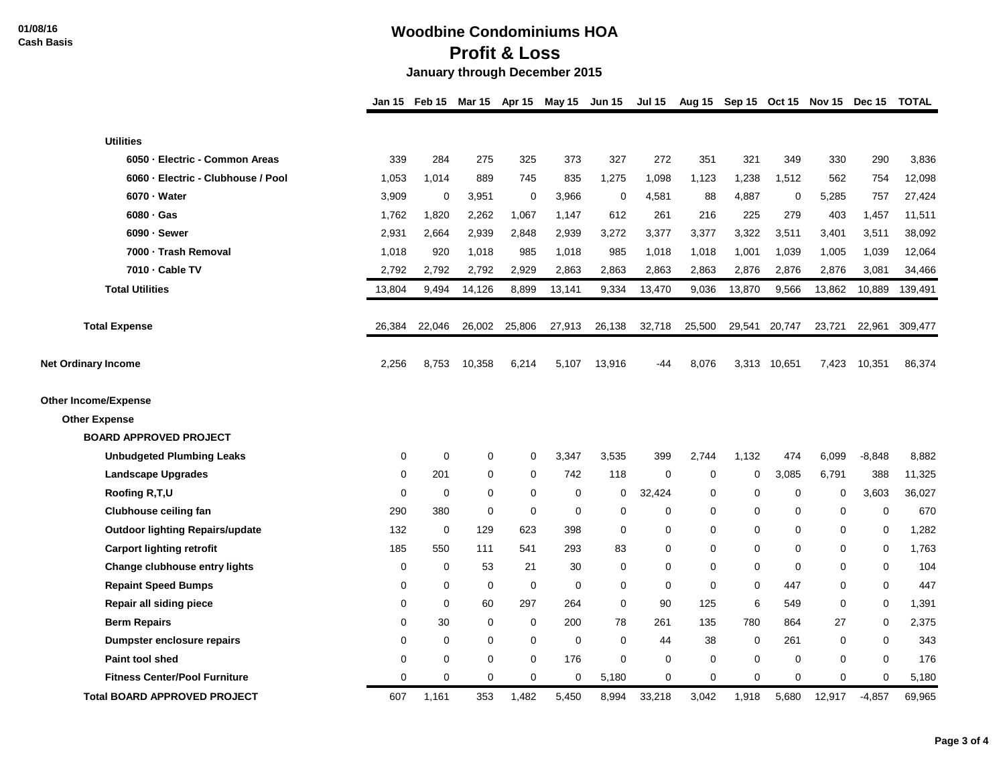## **Woodbine Condominiums HOA Profit & Loss January through December 2015**

|                                        | <b>Jan 15</b> | Feb 15      | Mar 15      | Apr 15 | May 15      | <b>Jun 15</b>    | <b>Jul 15</b> |          |          |          | Aug 15 Sep 15 Oct 15 Nov 15 Dec 15 |             | <b>TOTAL</b> |
|----------------------------------------|---------------|-------------|-------------|--------|-------------|------------------|---------------|----------|----------|----------|------------------------------------|-------------|--------------|
|                                        |               |             |             |        |             |                  |               |          |          |          |                                    |             |              |
| <b>Utilities</b>                       |               |             |             |        |             |                  |               |          |          |          |                                    |             |              |
| 6050 - Electric - Common Areas         | 339           | 284         | 275         | 325    | 373         | 327              | 272           | 351      | 321      | 349      | 330                                | 290         | 3,836        |
| 6060 - Electric - Clubhouse / Pool     | 1,053         | 1,014       | 889         | 745    | 835         | 1,275            | 1,098         | 1,123    | 1,238    | 1,512    | 562                                | 754         | 12,098       |
| 6070 - Water                           | 3,909         | 0           | 3,951       | 0      | 3,966       | 0                | 4,581         | 88       | 4,887    | 0        | 5,285                              | 757         | 27,424       |
| $6080 \cdot Gas$                       | 1,762         | 1,820       | 2,262       | 1,067  | 1,147       | 612              | 261           | 216      | 225      | 279      | 403                                | 1,457       | 11,511       |
| 6090 - Sewer                           | 2,931         | 2,664       | 2,939       | 2,848  | 2,939       | 3,272            | 3,377         | 3,377    | 3,322    | 3,511    | 3,401                              | 3,511       | 38,092       |
| 7000 - Trash Removal                   | 1,018         | 920         | 1,018       | 985    | 1,018       | 985              | 1,018         | 1,018    | 1,001    | 1,039    | 1,005                              | 1,039       | 12,064       |
| 7010 - Cable TV                        | 2,792         | 2,792       | 2,792       | 2,929  | 2,863       | 2,863            | 2,863         | 2,863    | 2,876    | 2,876    | 2,876                              | 3,081       | 34,466       |
| <b>Total Utilities</b>                 | 13,804        | 9,494       | 14,126      | 8,899  | 13,141      | 9,334            | 13,470        | 9,036    | 13,870   | 9,566    | 13,862                             | 10,889      | 139,491      |
| <b>Total Expense</b>                   | 26,384        | 22,046      | 26,002      | 25,806 | 27,913      | 26,138           | 32,718        | 25,500   | 29,541   | 20,747   | 23,721                             | 22,961      | 309,477      |
| <b>Net Ordinary Income</b>             | 2,256         | 8,753       | 10,358      | 6,214  | 5,107       | 13,916           | -44           | 8,076    | 3,313    | 10,651   | 7,423                              | 10,351      | 86,374       |
| <b>Other Income/Expense</b>            |               |             |             |        |             |                  |               |          |          |          |                                    |             |              |
| <b>Other Expense</b>                   |               |             |             |        |             |                  |               |          |          |          |                                    |             |              |
| <b>BOARD APPROVED PROJECT</b>          |               |             |             |        |             |                  |               |          |          |          |                                    |             |              |
| <b>Unbudgeted Plumbing Leaks</b>       | 0             | $\mathbf 0$ | 0           | 0      | 3,347       | 3,535            | 399           | 2,744    | 1,132    | 474      | 6,099                              | $-8,848$    | 8,882        |
| <b>Landscape Upgrades</b>              | $\mathbf 0$   | 201         | $\mathbf 0$ | 0      | 742         | 118              | $\mathbf 0$   | 0        | 0        | 3,085    | 6,791                              | 388         | 11,325       |
| Roofing R,T,U                          | $\mathbf 0$   | $\Omega$    | $\Omega$    | 0      | $\mathbf 0$ | 0                | 32,424        | $\Omega$ | 0        | $\Omega$ | 0                                  | 3,603       | 36,027       |
| <b>Clubhouse ceiling fan</b>           | 290           | 380         | $\mathbf 0$ | 0      | $\mathbf 0$ | 0                | $\mathbf 0$   | 0        | 0        | 0        | $\mathbf 0$                        | $\mathbf 0$ | 670          |
| <b>Outdoor lighting Repairs/update</b> | 132           | $\mathbf 0$ | 129         | 623    | 398         | $\mathbf 0$      | $\mathbf 0$   | 0        | $\Omega$ | $\Omega$ | $\mathbf 0$                        | 0           | 1,282        |
| <b>Carport lighting retrofit</b>       | 185           | 550         | 111         | 541    | 293         | 83               | $\mathbf{0}$  | $\Omega$ | $\Omega$ | $\Omega$ | $\Omega$                           | $\mathbf 0$ | 1,763        |
| Change clubhouse entry lights          | $\mathbf 0$   | $\mathbf 0$ | 53          | 21     | 30          | 0                | 0             | 0        | 0        | 0        | 0                                  | 0           | 104          |
| <b>Repaint Speed Bumps</b>             | $\mathbf 0$   | 0           | $\mathbf 0$ | 0      | $\mathbf 0$ | $\mathbf 0$      | $\mathbf 0$   | $\Omega$ | $\Omega$ | 447      | $\mathbf 0$                        | $\mathbf 0$ | 447          |
| Repair all siding piece                | $\mathbf 0$   | $\Omega$    | 60          | 297    | 264         | $\mathbf 0$      | 90            | 125      | 6        | 549      | $\Omega$                           | $\pmb{0}$   | 1,391        |
| <b>Berm Repairs</b>                    | 0             | 30          | 0           | 0      | 200         | 78               | 261           | 135      | 780      | 864      | 27                                 | 0           | 2,375        |
| Dumpster enclosure repairs             | $\mathbf 0$   | $\Omega$    | $\mathbf 0$ | 0      | $\mathbf 0$ | $\mathbf 0$      | 44            | 38       | $\Omega$ | 261      | $\mathbf 0$                        | $\mathbf 0$ | 343          |
| Paint tool shed                        | 0             | $\Omega$    | $\Omega$    | 0      | 176         | $\boldsymbol{0}$ | 0             | 0        | 0        | $\Omega$ | 0                                  | $\mathbf 0$ | 176          |
| <b>Fitness Center/Pool Furniture</b>   | $\mathbf 0$   | 0           | 0           | 0      | 0           | 5,180            | 0             | 0        | 0        | 0        | $\mathbf 0$                        | $\mathbf 0$ | 5,180        |
| <b>Total BOARD APPROVED PROJECT</b>    | 607           | 1.161       | 353         | 1.482  | 5,450       | 8.994            | 33.218        | 3.042    | 1,918    | 5.680    | 12.917                             | $-4.857$    | 69.965       |